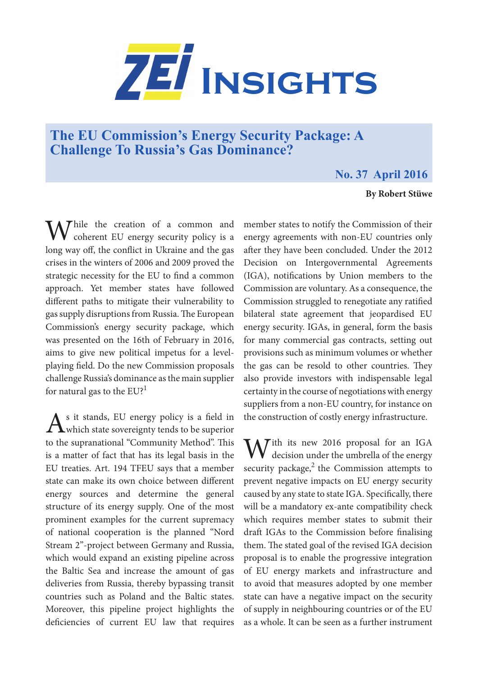

## **The EU Commission's Energy Security Package: A Challenge To Russia's Gas Dominance?**

## **No. 37 April 2016**

## **By Robert Stüwe**

While the creation of a common and **V** coherent EU energy security policy is a long way off, the conflict in Ukraine and the gas crises in the winters of 2006 and 2009 proved the strategic necessity for the EU to find a common approach. Yet member states have followed different paths to mitigate their vulnerability to gas supply disruptions from Russia. The European Commission's energy security package, which was presented on the 16th of February in 2016, aims to give new political impetus for a levelplaying field. Do the new Commission proposals challenge Russia's dominance as the main supplier for natural gas to the  $EU^1$ 

 $A<sup>s</sup>$  it stands, EU energy policy is a field in which state sovereignty tends to be superior to the supranational "Community Method". This is a matter of fact that has its legal basis in the EU treaties. Art. 194 TFEU says that a member state can make its own choice between different energy sources and determine the general structure of its energy supply. One of the most prominent examples for the current supremacy of national cooperation is the planned "Nord Stream 2"-project between Germany and Russia, which would expand an existing pipeline across the Baltic Sea and increase the amount of gas deliveries from Russia, thereby bypassing transit countries such as Poland and the Baltic states. Moreover, this pipeline project highlights the deficiencies of current EU law that requires

member states to notify the Commission of their energy agreements with non-EU countries only after they have been concluded. Under the 2012 Decision on Intergovernmental Agreements (IGA), notifications by Union members to the Commission are voluntary. As a consequence, the Commission struggled to renegotiate any ratified bilateral state agreement that jeopardised EU energy security. IGAs, in general, form the basis for many commercial gas contracts, setting out provisions such as minimum volumes or whether the gas can be resold to other countries. They also provide investors with indispensable legal certainty in the course of negotiations with energy suppliers from a non-EU country, for instance on the construction of costly energy infrastructure.

 $M^{\text{ith}}$  its new 2016 proposal for an IGA decision under the umbrella of the energy security package, $2$  the Commission attempts to prevent negative impacts on EU energy security caused by any state to state IGA. Specifically, there will be a mandatory ex-ante compatibility check which requires member states to submit their draft IGAs to the Commission before finalising them. The stated goal of the revised IGA decision proposal is to enable the progressive integration of EU energy markets and infrastructure and to avoid that measures adopted by one member state can have a negative impact on the security of supply in neighbouring countries or of the EU as a whole. It can be seen as a further instrument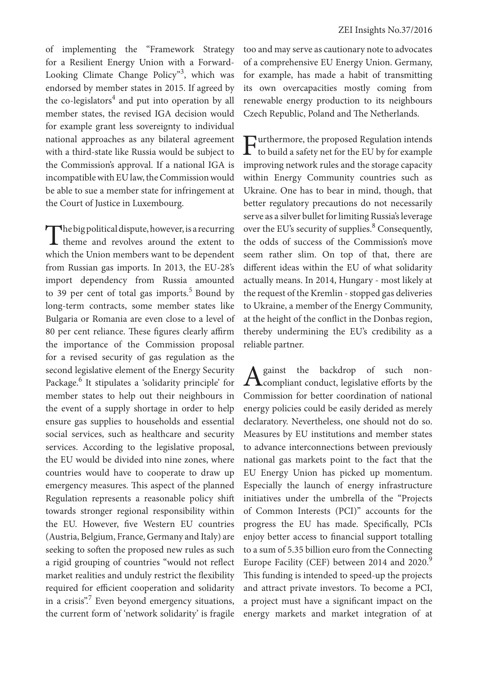of implementing the "Framework Strategy for a Resilient Energy Union with a Forward-Looking Climate Change Policy"<sup>3</sup>, which was endorsed by member states in 2015. If agreed by the co-legislators<sup>4</sup> and put into operation by all member states, the revised IGA decision would for example grant less sovereignty to individual national approaches as any bilateral agreement with a third-state like Russia would be subject to the Commission's approval. If a national IGA is incompatible with EU law, the Commission would be able to sue a member state for infringement at the Court of Justice in Luxembourg.

The big political dispute, however, is a recurring theme and revolves around the extent to which the Union members want to be dependent from Russian gas imports. In 2013, the EU-28's import dependency from Russia amounted to 39 per cent of total gas imports. $5$  Bound by long-term contracts, some member states like Bulgaria or Romania are even close to a level of 80 per cent reliance. These figures clearly affirm the importance of the Commission proposal for a revised security of gas regulation as the second legislative element of the Energy Security Package.<sup>6</sup> It stipulates a 'solidarity principle' for member states to help out their neighbours in the event of a supply shortage in order to help ensure gas supplies to households and essential social services, such as healthcare and security services. According to the legislative proposal, the EU would be divided into nine zones, where countries would have to cooperate to draw up emergency measures. This aspect of the planned Regulation represents a reasonable policy shift towards stronger regional responsibility within the EU. However, five Western EU countries (Austria, Belgium, France, Germany and Italy) are seeking to soften the proposed new rules as such a rigid grouping of countries "would not reflect market realities and unduly restrict the flexibility required for efficient cooperation and solidarity in a crisis".<sup>7</sup> Even beyond emergency situations, the current form of 'network solidarity' is fragile

too and may serve as cautionary note to advocates of a comprehensive EU Energy Union. Germany, for example, has made a habit of transmitting its own overcapacities mostly coming from renewable energy production to its neighbours Czech Republic, Poland and The Netherlands.

Furthermore, the proposed Regulation intends<br>to build a safety net for the EU by for example improving network rules and the storage capacity within Energy Community countries such as Ukraine. One has to bear in mind, though, that better regulatory precautions do not necessarily serve as a silver bullet for limiting Russia's leverage over the EU's security of supplies.<sup>8</sup> Consequently, the odds of success of the Commission's move seem rather slim. On top of that, there are different ideas within the EU of what solidarity actually means. In 2014, Hungary - most likely at the request of the Kremlin - stopped gas deliveries to Ukraine, a member of the Energy Community, at the height of the conflict in the Donbas region, thereby undermining the EU's credibility as a reliable partner.

A gainst the backdrop of such non-<br>
compliant conduct, legislative efforts by the Commission for better coordination of national energy policies could be easily derided as merely declaratory. Nevertheless, one should not do so. Measures by EU institutions and member states to advance interconnections between previously national gas markets point to the fact that the EU Energy Union has picked up momentum. Especially the launch of energy infrastructure initiatives under the umbrella of the "Projects of Common Interests (PCI)" accounts for the progress the EU has made. Specifically, PCIs enjoy better access to financial support totalling to a sum of 5.35 billion euro from the Connecting Europe Facility (CEF) between 2014 and 2020.<sup>9</sup> This funding is intended to speed-up the projects and attract private investors. To become a PCI, a project must have a significant impact on the energy markets and market integration of at